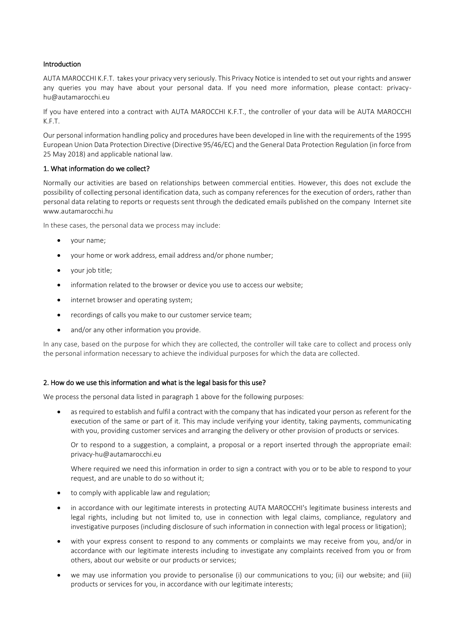## Introduction

AUTA MAROCCHI K.F.T. takes your privacy very seriously. This Privacy Notice is intended to set out your rights and answer any queries you may have about your personal data. If you need more information, please contact: privacyhu@autamarocchi.eu

If you have entered into a contract with AUTA MAROCCHI K.F.T., the controller of your data will be AUTA MAROCCHI K.F.T.

Our personal information handling policy and procedures have been developed in line with the requirements of the 1995 European Union Data Protection Directive (Directive 95/46/EC) and the General Data Protection Regulation (in force from 25 May 2018) and applicable national law.

#### 1. What information do we collect?

Normally our activities are based on relationships between commercial entities. However, this does not exclude the possibility of collecting personal identification data, such as company references for the execution of orders, rather than personal data relating to reports or requests sent through the dedicated emails published on the company Internet site www.autamarocchi.hu

In these cases, the personal data we process may include:

- your name;
- your home or work address, email address and/or phone number;
- vour job title:
- information related to the browser or device you use to access our website;
- internet browser and operating system;
- recordings of calls you make to our customer service team;
- and/or any other information you provide.

In any case, based on the purpose for which they are collected, the controller will take care to collect and process only the personal information necessary to achieve the individual purposes for which the data are collected.

#### 2. How do we use this information and what is the legal basis for this use?

We process the personal data listed in paragraph 1 above for the following purposes:

 as required to establish and fulfil a contract with the company that has indicated your person as referent for the execution of the same or part of it. This may include verifying your identity, taking payments, communicating with you, providing customer services and arranging the delivery or other provision of products or services.

Or to respond to a suggestion, a complaint, a proposal or a report inserted through the appropriate email: privacy-hu@autamarocchi.eu

Where required we need this information in order to sign a contract with you or to be able to respond to your request, and are unable to do so without it;

- to comply with applicable law and regulation;
- in accordance with our legitimate interests in protecting AUTA MAROCCHI's legitimate business interests and legal rights, including but not limited to, use in connection with legal claims, compliance, regulatory and investigative purposes (including disclosure of such information in connection with legal process or litigation);
- with your express consent to respond to any comments or complaints we may receive from you, and/or in accordance with our legitimate interests including to investigate any complaints received from you or from others, about our website or our products or services;
- we may use information you provide to personalise (i) our communications to you; (ii) our website; and (iii) products or services for you, in accordance with our legitimate interests;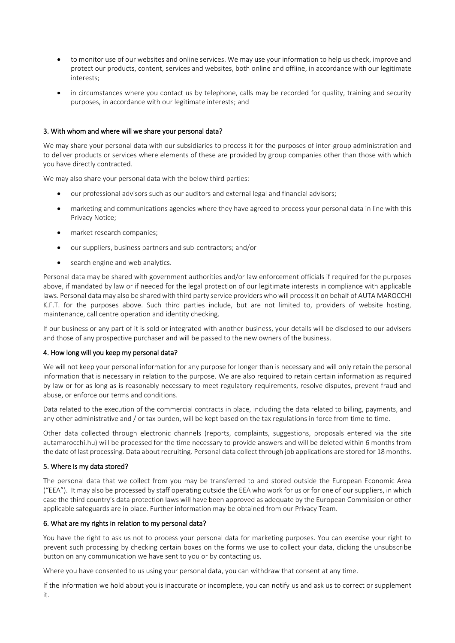- to monitor use of our websites and online services. We may use your information to help us check, improve and protect our products, content, services and websites, both online and offline, in accordance with our legitimate interests;
- in circumstances where you contact us by telephone, calls may be recorded for quality, training and security purposes, in accordance with our legitimate interests; and

# 3. With whom and where will we share your personal data?

We may share your personal data with our subsidiaries to process it for the purposes of inter-group administration and to deliver products or services where elements of these are provided by group companies other than those with which you have directly contracted.

We may also share your personal data with the below third parties:

- our professional advisors such as our auditors and external legal and financial advisors;
- marketing and communications agencies where they have agreed to process your personal data in line with this Privacy Notice;
- market research companies;
- our suppliers, business partners and sub-contractors; and/or
- search engine and web analytics.

Personal data may be shared with government authorities and/or law enforcement officials if required for the purposes above, if mandated by law or if needed for the legal protection of our legitimate interests in compliance with applicable laws. Personal data may also be shared with third party service providers who will process it on behalf of AUTA MAROCCHI K.F.T. for the purposes above. Such third parties include, but are not limited to, providers of website hosting, maintenance, call centre operation and identity checking.

If our business or any part of it is sold or integrated with another business, your details will be disclosed to our advisers and those of any prospective purchaser and will be passed to the new owners of the business.

## 4. How long will you keep my personal data?

We will not keep your personal information for any purpose for longer than is necessary and will only retain the personal information that is necessary in relation to the purpose. We are also required to retain certain information as required by law or for as long as is reasonably necessary to meet regulatory requirements, resolve disputes, prevent fraud and abuse, or enforce our terms and conditions.

Data related to the execution of the commercial contracts in place, including the data related to billing, payments, and any other administrative and / or tax burden, will be kept based on the tax regulations in force from time to time.

Other data collected through electronic channels (reports, complaints, suggestions, proposals entered via the site autamarocchi.hu) will be processed for the time necessary to provide answers and will be deleted within 6 months from the date of last processing. Data about recruiting. Personal data collect through job applications are stored for 18 months.

## 5. Where is my data stored?

The personal data that we collect from you may be transferred to and stored outside the European Economic Area ("EEA"). It may also be processed by staff operating outside the EEA who work for us or for one of our suppliers, in which case the third country's data protection laws will have been approved as adequate by the European Commission or other applicable safeguards are in place. Further information may be obtained from our Privacy Team.

## 6. What are my rights in relation to my personal data?

You have the right to ask us not to process your personal data for marketing purposes. You can exercise your right to prevent such processing by checking certain boxes on the forms we use to collect your data, clicking the unsubscribe button on any communication we have sent to you or by contacting us.

Where you have consented to us using your personal data, you can withdraw that consent at any time.

If the information we hold about you is inaccurate or incomplete, you can notify us and ask us to correct or supplement it.